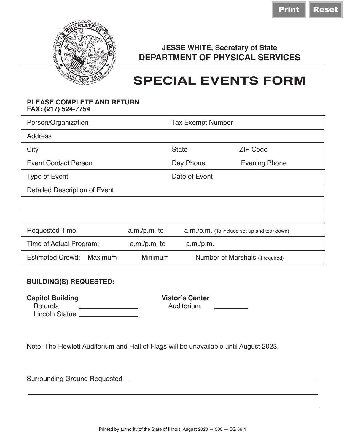

## **JESSE WHITE, Secretary of State DEPARTMENT OF PHYSICAL SERVICES**

## **SPECIAL EVENTS FORM**

## **PLEASE COMPLETE AND RETURN FAX: (217) 524-7754**

| Person/Organization                |                | <b>Tax Exempt Number</b>                      |                      |  |
|------------------------------------|----------------|-----------------------------------------------|----------------------|--|
| Address                            |                |                                               |                      |  |
| City                               |                | <b>State</b>                                  | <b>ZIP Code</b>      |  |
| <b>Event Contact Person</b>        | Day Phone      |                                               | <b>Evening Phone</b> |  |
| <b>Type of Event</b>               | Date of Event  |                                               |                      |  |
| Detailed Description of Event      |                |                                               |                      |  |
|                                    |                |                                               |                      |  |
|                                    |                |                                               |                      |  |
| <b>Requested Time:</b>             | a.m./p.m. to   | $a.m./p.m.$ (To include set-up and tear down) |                      |  |
| Time of Actual Program:            | $a.m./p.m.$ to | a.m./p.m.                                     |                      |  |
| <b>Estimated Crowd:</b><br>Maximum | Minimum        | Number of Marshals (if required)              |                      |  |

## **BUILDING(S) REQUESTED:**

**Capitol Building**<br> **Capitol Building**<br> **Capitol Building**<br> **Capitol Building**<br> **Capitol Building**<br> **Capitol Building**<br> **Capitol Building**<br> **Capitol Building** 

Rotunda Auditorium Lincoln Statue \_\_\_\_\_\_\_\_\_\_\_

Note: The Howlett Auditorium and Hall of Flags will be unavailable until August 2023.

Surrounding Ground Requested **Lawrence and Contract Control Control Control Control Control Control Control Control Control Control Control Control Control Control Control Control Control Control Control Control Control Co**